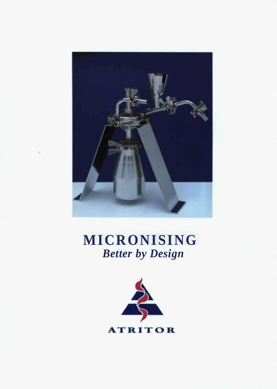

# **MICRONISING**  *Better by Design*

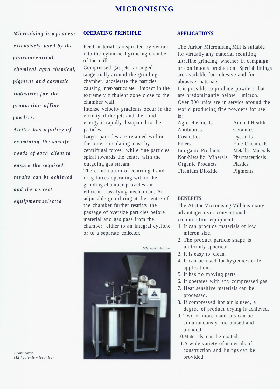## **MICRONISING**

*Micronising is a process extensively used by the pharmaceutical chemical agro-chemical, pigment and cosmetic industries for the production of fine powders.* 

*Atritor has a policy of examining the specifc needs of each client to ensure the required results can be achieved and the correct equipment selected* 

## **OPERATING PRINCIPLE**

Feed material is inspirated by venturi into the cylindrical grinding chamber of the mill.

Compressed gas jets, arranged tangentially around the grinding chamber, accelerate the particles, causing inter-particulate impact in the extremely turbulent zone close to the chamber wall.

Intense velocity gradients occur in the vicinity of the jets and the fluid energy is rapidly dissipated to the particles.

Larger particles are retained within the outer circulating mass by centrifugal forces, while fine particles spiral towards the centre with the outgoing gas stream. The combination of centrifugal and

drag forces operating within the grinding chamber provides an efficient classifying mechanism. An adjustable guard ring at the centre of the chamber further restricts the passage of oversize particles before material and gas pass from the chamber, either to an integral cyclone or to a separate collector.

*M6 work station* 



#### **APPLICATIONS**

The Atritor Micronising Mill is suitable for virtually any material requiting ultrafine grinding, whether in campaign or continuous production. Special linings are available for cohesive and for abrasive materials.

It is possible to produce powders that are predominantly below 1 micron. Over 300 units are in service around the world producing fine powders for use in:

| Agro chemicals        |
|-----------------------|
| Antibiotics           |
| Cosmetics             |
| Fillers               |
| Inorganic Products    |
| Non-Metallic Minerals |
| Organic Products      |
| Titanium Dioxide      |

Animal Health Ceramics Dyestuffs Fine Chemicals Metallic Minerals Pharmaceuticals Plastics Pigments

#### **BENEFITS**

The Atritor Micronising Mill has many advantages over conventional comminution equipment.

- 1. It can produce materials of low micron size.
- 2. The product particle shape is uniformly spherical.
- 3. It is easy to clean.
- 4. It can be used for hygienic/sterile applications.
- 5. It has no moving parts
- 6. It operates with any compressed gas.
- 7. Heat sensitive materials can be processed.
- 8. If compressed hot air is used, a degree of product drying is achieved.
- 9. Two or more materials can be simultaneously micronised and blended.
- 10.Materials can be coated.
- 11.A wide variety of materials of construction and linings can be provided.

*Front cover M2 hygienic microniser*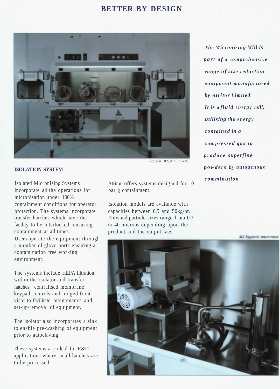## **BETTER BY DESIGN**



## **ISOLATION SYSTEM**

Isolated Micronising Systems incorporate all the operations for micronisation under 100% containment conditions for operator protection. The systems incorporate transfer hatches which have the facility to be interlocked, ensuring containment at all times. Users operate the equipment through a number of glove ports ensuring a contamination free working environment.

The systems include HEPA filtration within the isolator and transfer hatches, centralised membrane keypad controls and hinged front visor to facilitate maintenance and set-up/removal of equipment.

The isolator also incorporates a sink to enable pre-washing of equipment prior to autoclaving.

These systems are ideal for R&D applications where small batches are to be processed.

Atritor offers systems designed for 10 bar g containment.

Isolation models are available with capacities between 0.5 and 50kg/hr. Finished particle sizes range from 0.3 to 40 microns depending upon the product and the output rate.

*The Micronising Mill is part of a comprehensive range of size reduction equipment manufactured by Atritor Limited It is a fluid energy mill, utilising the energy contained in a compressed gas to produce superfine powders by autogenous comminution* 

M2 hygienic microniser